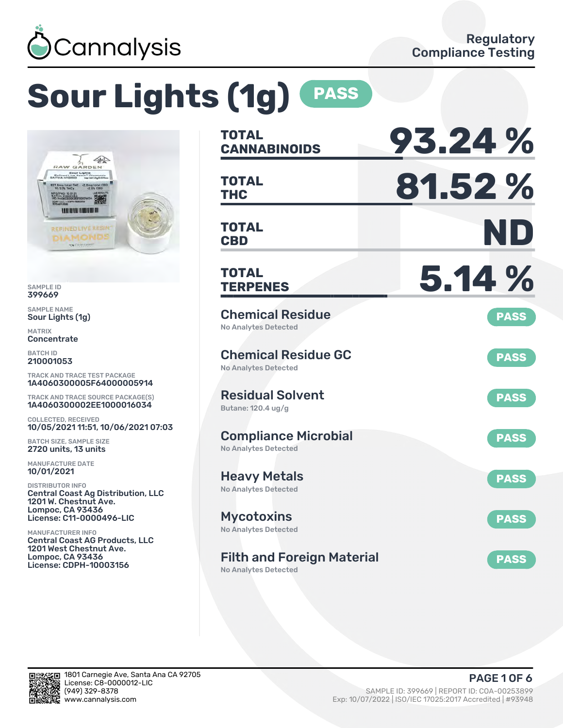

# **Sour Lights (1g) PASS**



SAMPLE ID 399669

SAMPLE NAME Sour Lights (1g)

MATRIX **Concentrate** 

BATCH ID 210001053

TRACK AND TRACE TEST PACKAGE 1A4060300005F64000005914

TRACK AND TRACE SOURCE PACKAGE(S) 1A4060300002EE1000016034

COLLECTED, RECEIVED 10/05/2021 11:51, 10/06/2021 07:03

BATCH SIZE, SAMPLE SIZE 2720 units, 13 units

MANUFACTURE DATE 10/01/2021

DISTRIBUTOR INFO Central Coast Ag Distribution, LLC 1201 W. Chestnut Ave. Lompoc, CA 93436 License: C11-0000496-LIC

MANUFACTURER INFO Central Coast AG Products, LLC 1201 West Chestnut Ave. Lompoc, CA 93436 License: CDPH-10003156

| <b>TOTAL</b><br><b>CANNABINOIDS</b>                              | 93.24%      |
|------------------------------------------------------------------|-------------|
| <b>TOTAL</b><br><b>THC</b>                                       | 81.52%      |
| <b>TOTAL</b><br><b>CBD</b>                                       | ND          |
| <b>TOTAL</b><br><b>TERPENES</b>                                  | 5.14 %      |
| <b>Chemical Residue</b><br><b>No Analytes Detected</b>           | <b>PASS</b> |
| <b>Chemical Residue GC</b><br><b>No Analytes Detected</b>        | <b>PASS</b> |
| <b>Residual Solvent</b><br>Butane: 120.4 ug/g                    | <b>PASS</b> |
| <b>Compliance Microbial</b><br><b>No Analytes Detected</b>       | <b>PASS</b> |
| <b>Heavy Metals</b><br><b>No Analytes Detected</b>               | <b>PASS</b> |
| <b>Mycotoxins</b><br>No Analytes Detected                        | <b>PASS</b> |
| <b>Filth and Foreign Material</b><br><b>No Analytes Detected</b> | <b>PASS</b> |

in.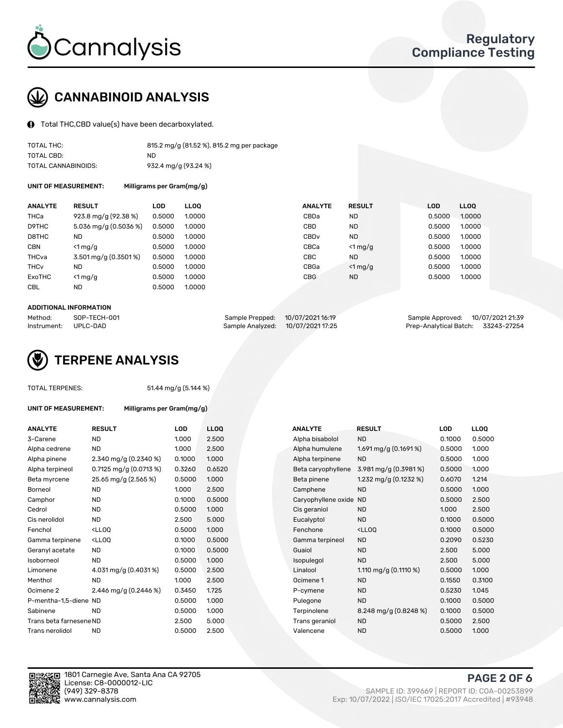

# CANNABINOID ANALYSIS

Total THC,CBD value(s) have been decarboxylated.

| TOTAL THC:          | 815.2 mg/g (81.52 %), 815.2 mg per package |
|---------------------|--------------------------------------------|
| TOTAL CBD:          | ND.                                        |
| TOTAL CANNABINOIDS: | 932.4 mg/g (93.24 %)                       |

UNIT OF MEASUREMENT: Milligrams per Gram(mg/g)

| <b>ANALYTE</b>         | <b>RESULT</b>         | <b>LOD</b> | <b>LLOO</b> | <b>ANALYTE</b>   | <b>RESULT</b> | <b>LOD</b> | <b>LLOO</b> |
|------------------------|-----------------------|------------|-------------|------------------|---------------|------------|-------------|
| THCa                   | 923.8 mg/g (92.38 %)  | 0.5000     | 1.0000      | CBDa             | <b>ND</b>     | 0.5000     | 1.0000      |
| D9THC                  | 5.036 mg/g (0.5036 %) | 0.5000     | 1.0000      | <b>CBD</b>       | <b>ND</b>     | 0.5000     | 1.0000      |
| D8THC                  | <b>ND</b>             | 0.5000     | 1.0000      | CBD <sub>v</sub> | <b>ND</b>     | 0.5000     | 1.0000      |
| <b>CBN</b>             | $<$ 1 mg/g            | 0.5000     | 1.0000      | CBCa             | $<$ 1 mg/g    | 0.5000     | 1.0000      |
| THCva                  | 3.501 mg/g (0.3501 %) | 0.5000     | 1.0000      | CBC              | <b>ND</b>     | 0.5000     | 1.0000      |
| <b>THC<sub>v</sub></b> | <b>ND</b>             | 0.5000     | 1.0000      | CBGa             | $<$ 1 mg/g    | 0.5000     | 1.0000      |
| ExoTHC                 | $<$ 1 mg/g            | 0.5000     | 1.0000      | <b>CBG</b>       | <b>ND</b>     | 0.5000     | 1.0000      |
| <b>CBL</b>             | <b>ND</b>             | 0.5000     | 1.0000      |                  |               |            |             |
|                        |                       |            |             |                  |               |            |             |

#### ADDITIONAL INFORMATION

| Method:              | SOP-TECH-001 | Sample Prepped: 10/07/2021 16:19  | Sample Approved: 10/07/2021 21:39  |  |
|----------------------|--------------|-----------------------------------|------------------------------------|--|
| Instrument: UPLC-DAD |              | Sample Analyzed: 10/07/2021 17:25 | Prep-Analytical Batch: 33243-27254 |  |



TOTAL TERPENES: 51.44 mg/g (5.144 %)

| UNIT OF MEASUREMENT:    | Milligrams per Gram(mg/g)                                                                                                      |            |        |                        |                                                    |        |             |
|-------------------------|--------------------------------------------------------------------------------------------------------------------------------|------------|--------|------------------------|----------------------------------------------------|--------|-------------|
| <b>ANALYTE</b>          | <b>RESULT</b>                                                                                                                  | <b>LOD</b> | LLOQ   | <b>ANALYTE</b>         | <b>RESULT</b>                                      | LOD    | <b>LLOQ</b> |
| 3-Carene                | <b>ND</b>                                                                                                                      | 1.000      | 2.500  | Alpha bisabolol        | <b>ND</b>                                          | 0.1000 | 0.500       |
| Alpha cedrene           | <b>ND</b>                                                                                                                      | 1.000      | 2.500  | Alpha humulene         | 1.691 mg/g $(0.1691\%)$                            | 0.5000 | 1.000       |
| Alpha pinene            | $2.340 \,\mathrm{mq/q}$ (0.2340 %)                                                                                             | 0.1000     | 1.000  | Alpha terpinene        | <b>ND</b>                                          | 0.5000 | 1.000       |
| Alpha terpineol         | 0.7125 mg/g $(0.0713\%)$                                                                                                       | 0.3260     | 0.6520 | Beta caryophyllene     | 3.981 mg/g (0.3981%)                               | 0.5000 | 1.000       |
| Beta myrcene            | 25.65 mg/g (2.565 %)                                                                                                           | 0.5000     | 1.000  | Beta pinene            | 1.232 mg/g $(0.1232 \%)$                           | 0.6070 | 1.214       |
| Borneol                 | <b>ND</b>                                                                                                                      | 1.000      | 2.500  | Camphene               | <b>ND</b>                                          | 0.5000 | 1.000       |
| Camphor                 | <b>ND</b>                                                                                                                      | 0.1000     | 0.5000 | Caryophyllene oxide ND |                                                    | 0.5000 | 2.500       |
| Cedrol                  | <b>ND</b>                                                                                                                      | 0.5000     | 1.000  | Cis geraniol           | <b>ND</b>                                          | 1.000  | 2.500       |
| Cis nerolidol           | <b>ND</b>                                                                                                                      | 2.500      | 5.000  | Eucalyptol             | <b>ND</b>                                          | 0.1000 | 0.500       |
| Fenchol                 | <ll0q< td=""><td>0.5000</td><td>1.000</td><td>Fenchone</td><td><ll0q< td=""><td>0.1000</td><td>0.500</td></ll0q<></td></ll0q<> | 0.5000     | 1.000  | Fenchone               | <ll0q< td=""><td>0.1000</td><td>0.500</td></ll0q<> | 0.1000 | 0.500       |
| Gamma terpinene         | <ll0q< td=""><td>0.1000</td><td>0.5000</td><td>Gamma terpineol</td><td><b>ND</b></td><td>0.2090</td><td>0.523</td></ll0q<>     | 0.1000     | 0.5000 | Gamma terpineol        | <b>ND</b>                                          | 0.2090 | 0.523       |
| Geranyl acetate         | <b>ND</b>                                                                                                                      | 0.1000     | 0.5000 | Guaiol                 | <b>ND</b>                                          | 2.500  | 5.000       |
| Isoborneol              | <b>ND</b>                                                                                                                      | 0.5000     | 1.000  | Isopulegol             | <b>ND</b>                                          | 2.500  | 5.000       |
| Limonene                | 4.031 mg/g (0.4031%)                                                                                                           | 0.5000     | 2.500  | Linalool               | 1.110 mg/g $(0.1110 \%)$                           | 0.5000 | 1.000       |
| Menthol                 | <b>ND</b>                                                                                                                      | 1.000      | 2.500  | Ocimene 1              | <b>ND</b>                                          | 0.1550 | 0.310       |
| Ocimene 2               | 2.446 mg/g $(0.2446\%)$                                                                                                        | 0.3450     | 1.725  | P-cymene               | <b>ND</b>                                          | 0.5230 | 1.045       |
| P-mentha-1,5-diene ND   |                                                                                                                                | 0.5000     | 1.000  | Pulegone               | <b>ND</b>                                          | 0.1000 | 0.500       |
| Sabinene                | <b>ND</b>                                                                                                                      | 0.5000     | 1.000  | Terpinolene            | 8.248 mg/g $(0.8248%)$                             | 0.1000 | 0.500       |
| Trans beta farnesene ND |                                                                                                                                | 2.500      | 5.000  | Trans geraniol         | <b>ND</b>                                          | 0.5000 | 2.500       |
| Trans nerolidol         | <b>ND</b>                                                                                                                      | 0.5000     | 2.500  | Valencene              | <b>ND</b>                                          | 0.5000 | 1.000       |
|                         |                                                                                                                                |            |        |                        |                                                    |        |             |

| ANALYTE                 | <b>RESULT</b>                                                                                                                   | <b>LOD</b> | <b>LLOQ</b> | <b>ANALYTE</b>         | <b>RESULT</b>                                       | <b>LOD</b> | <b>LLOQ</b> |
|-------------------------|---------------------------------------------------------------------------------------------------------------------------------|------------|-------------|------------------------|-----------------------------------------------------|------------|-------------|
| 3-Carene                | <b>ND</b>                                                                                                                       | 1.000      | 2.500       | Alpha bisabolol        | <b>ND</b>                                           | 0.1000     | 0.5000      |
| Alpha cedrene           | <b>ND</b>                                                                                                                       | 1.000      | 2.500       | Alpha humulene         | 1.691 mg/g $(0.1691\%)$                             | 0.5000     | 1.000       |
| Alpha pinene            | 2.340 mg/g (0.2340 %)                                                                                                           | 0.1000     | 1.000       | Alpha terpinene        | <b>ND</b>                                           | 0.5000     | 1.000       |
| Alpha terpineol         | $0.7125 \text{ mg/g} (0.0713 \text{ %})$                                                                                        | 0.3260     | 0.6520      | Beta caryophyllene     | $3.981 \,\mathrm{mg/g}$ (0.3981 %)                  | 0.5000     | 1.000       |
| Beta myrcene            | 25.65 mg/g (2.565 %)                                                                                                            | 0.5000     | 1.000       | Beta pinene            | 1.232 mg/g $(0.1232 \%)$                            | 0.6070     | 1.214       |
| Borneol                 | <b>ND</b>                                                                                                                       | 1.000      | 2.500       | Camphene               | <b>ND</b>                                           | 0.5000     | 1.000       |
| Camphor                 | <b>ND</b>                                                                                                                       | 0.1000     | 0.5000      | Caryophyllene oxide ND |                                                     | 0.5000     | 2.500       |
| Cedrol                  | <b>ND</b>                                                                                                                       | 0.5000     | 1.000       | Cis geraniol           | <b>ND</b>                                           | 1.000      | 2.500       |
| Cis nerolidol           | <b>ND</b>                                                                                                                       | 2.500      | 5.000       | Eucalyptol             | <b>ND</b>                                           | 0.1000     | 0.5000      |
| Fenchol                 | <lloq< td=""><td>0.5000</td><td>1.000</td><td>Fenchone</td><td><ll0q< td=""><td>0.1000</td><td>0.5000</td></ll0q<></td></lloq<> | 0.5000     | 1.000       | Fenchone               | <ll0q< td=""><td>0.1000</td><td>0.5000</td></ll0q<> | 0.1000     | 0.5000      |
| Gamma terpinene         | <lloq< td=""><td>0.1000</td><td>0.5000</td><td>Gamma terpineol</td><td><b>ND</b></td><td>0.2090</td><td>0.5230</td></lloq<>     | 0.1000     | 0.5000      | Gamma terpineol        | <b>ND</b>                                           | 0.2090     | 0.5230      |
| Geranyl acetate         | <b>ND</b>                                                                                                                       | 0.1000     | 0.5000      | Guaiol                 | <b>ND</b>                                           | 2.500      | 5.000       |
| Isoborneol              | <b>ND</b>                                                                                                                       | 0.5000     | 1.000       | Isopulegol             | <b>ND</b>                                           | 2.500      | 5.000       |
| Limonene                | 4.031 mg/g (0.4031%)                                                                                                            | 0.5000     | 2.500       | Linalool               | 1.110 mg/g $(0.1110 \%)$                            | 0.5000     | 1.000       |
| Menthol                 | <b>ND</b>                                                                                                                       | 1.000      | 2.500       | Ocimene 1              | <b>ND</b>                                           | 0.1550     | 0.3100      |
| Ocimene 2               | 2.446 mg/g $(0.2446\%)$                                                                                                         | 0.3450     | 1.725       | P-cymene               | <b>ND</b>                                           | 0.5230     | 1.045       |
| P-mentha-1,5-diene ND   |                                                                                                                                 | 0.5000     | 1.000       | Pulegone               | <b>ND</b>                                           | 0.1000     | 0.5000      |
| Sabinene                | <b>ND</b>                                                                                                                       | 0.5000     | 1.000       | Terpinolene            | 8.248 mg/g $(0.8248\%)$                             | 0.1000     | 0.5000      |
| Trans beta farnesene ND |                                                                                                                                 | 2.500      | 5.000       | Trans geraniol         | <b>ND</b>                                           | 0.5000     | 2.500       |
| Trans nerolidol         | <b>ND</b>                                                                                                                       | 0.5000     | 2.500       | Valencene              | <b>ND</b>                                           | 0.5000     | 1.000       |



PAGE 2 OF 6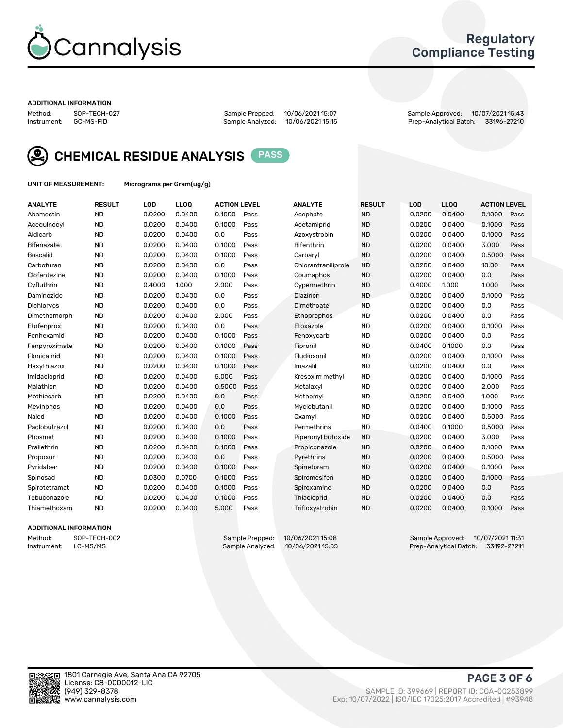

# Regulatory Compliance Testing

#### ADDITIONAL INFORMATION

Method: SOP-TECH-027 Sample Prepped: 10/06/2021 15:07 Sample Approved: 10/07/2021 15:43 Prep-Analytical Batch: 33196-27210



CHEMICAL RESIDUE ANALYSIS PASS

UNIT OF MEASUREMENT: Micrograms per Gram(ug/g)

| <b>ANALYTE</b>    | <b>RESULT</b> | LOD    | LL <sub>OO</sub> | <b>ACTION LEVEL</b> |      | <b>ANALYTE</b>      | <b>RESULT</b> | LOD    | <b>LLOQ</b> | <b>ACTION LEVEL</b> |      |
|-------------------|---------------|--------|------------------|---------------------|------|---------------------|---------------|--------|-------------|---------------------|------|
| Abamectin         | <b>ND</b>     | 0.0200 | 0.0400           | 0.1000              | Pass | Acephate            | <b>ND</b>     | 0.0200 | 0.0400      | 0.1000              | Pass |
| Acequinocyl       | <b>ND</b>     | 0.0200 | 0.0400           | 0.1000              | Pass | Acetamiprid         | <b>ND</b>     | 0.0200 | 0.0400      | 0.1000              | Pass |
| Aldicarb          | <b>ND</b>     | 0.0200 | 0.0400           | 0.0                 | Pass | Azoxystrobin        | <b>ND</b>     | 0.0200 | 0.0400      | 0.1000              | Pass |
| Bifenazate        | <b>ND</b>     | 0.0200 | 0.0400           | 0.1000              | Pass | <b>Bifenthrin</b>   | <b>ND</b>     | 0.0200 | 0.0400      | 3.000               | Pass |
| <b>Boscalid</b>   | <b>ND</b>     | 0.0200 | 0.0400           | 0.1000              | Pass | Carbaryl            | <b>ND</b>     | 0.0200 | 0.0400      | 0.5000              | Pass |
| Carbofuran        | <b>ND</b>     | 0.0200 | 0.0400           | 0.0                 | Pass | Chlorantraniliprole | <b>ND</b>     | 0.0200 | 0.0400      | 10.00               | Pass |
| Clofentezine      | <b>ND</b>     | 0.0200 | 0.0400           | 0.1000              | Pass | Coumaphos           | <b>ND</b>     | 0.0200 | 0.0400      | 0.0                 | Pass |
| Cyfluthrin        | <b>ND</b>     | 0.4000 | 1.000            | 2.000               | Pass | Cypermethrin        | <b>ND</b>     | 0.4000 | 1.000       | 1.000               | Pass |
| Daminozide        | <b>ND</b>     | 0.0200 | 0.0400           | 0.0                 | Pass | Diazinon            | <b>ND</b>     | 0.0200 | 0.0400      | 0.1000              | Pass |
| <b>Dichlorvos</b> | <b>ND</b>     | 0.0200 | 0.0400           | 0.0                 | Pass | Dimethoate          | <b>ND</b>     | 0.0200 | 0.0400      | 0.0                 | Pass |
| Dimethomorph      | <b>ND</b>     | 0.0200 | 0.0400           | 2.000               | Pass | <b>Ethoprophos</b>  | <b>ND</b>     | 0.0200 | 0.0400      | 0.0                 | Pass |
| Etofenprox        | <b>ND</b>     | 0.0200 | 0.0400           | 0.0                 | Pass | Etoxazole           | <b>ND</b>     | 0.0200 | 0.0400      | 0.1000              | Pass |
| Fenhexamid        | <b>ND</b>     | 0.0200 | 0.0400           | 0.1000              | Pass | Fenoxycarb          | <b>ND</b>     | 0.0200 | 0.0400      | 0.0                 | Pass |
| Fenpyroximate     | <b>ND</b>     | 0.0200 | 0.0400           | 0.1000              | Pass | Fipronil            | <b>ND</b>     | 0.0400 | 0.1000      | 0.0                 | Pass |
| Flonicamid        | <b>ND</b>     | 0.0200 | 0.0400           | 0.1000              | Pass | Fludioxonil         | <b>ND</b>     | 0.0200 | 0.0400      | 0.1000              | Pass |
| Hexythiazox       | <b>ND</b>     | 0.0200 | 0.0400           | 0.1000              | Pass | Imazalil            | <b>ND</b>     | 0.0200 | 0.0400      | 0.0                 | Pass |
| Imidacloprid      | <b>ND</b>     | 0.0200 | 0.0400           | 5.000               | Pass | Kresoxim methyl     | <b>ND</b>     | 0.0200 | 0.0400      | 0.1000              | Pass |
| Malathion         | <b>ND</b>     | 0.0200 | 0.0400           | 0.5000              | Pass | Metalaxyl           | <b>ND</b>     | 0.0200 | 0.0400      | 2.000               | Pass |
| Methiocarb        | <b>ND</b>     | 0.0200 | 0.0400           | 0.0                 | Pass | Methomyl            | <b>ND</b>     | 0.0200 | 0.0400      | 1.000               | Pass |
| Mevinphos         | <b>ND</b>     | 0.0200 | 0.0400           | 0.0                 | Pass | Myclobutanil        | <b>ND</b>     | 0.0200 | 0.0400      | 0.1000              | Pass |
| Naled             | <b>ND</b>     | 0.0200 | 0.0400           | 0.1000              | Pass | Oxamyl              | <b>ND</b>     | 0.0200 | 0.0400      | 0.5000              | Pass |
| Paclobutrazol     | <b>ND</b>     | 0.0200 | 0.0400           | 0.0                 | Pass | Permethrins         | <b>ND</b>     | 0.0400 | 0.1000      | 0.5000              | Pass |
| Phosmet           | <b>ND</b>     | 0.0200 | 0.0400           | 0.1000              | Pass | Piperonyl butoxide  | <b>ND</b>     | 0.0200 | 0.0400      | 3.000               | Pass |
| Prallethrin       | <b>ND</b>     | 0.0200 | 0.0400           | 0.1000              | Pass | Propiconazole       | <b>ND</b>     | 0.0200 | 0.0400      | 0.1000              | Pass |
| Propoxur          | <b>ND</b>     | 0.0200 | 0.0400           | 0.0                 | Pass | Pyrethrins          | <b>ND</b>     | 0.0200 | 0.0400      | 0.5000              | Pass |
| Pyridaben         | <b>ND</b>     | 0.0200 | 0.0400           | 0.1000              | Pass | Spinetoram          | <b>ND</b>     | 0.0200 | 0.0400      | 0.1000              | Pass |
| Spinosad          | <b>ND</b>     | 0.0300 | 0.0700           | 0.1000              | Pass | Spiromesifen        | <b>ND</b>     | 0.0200 | 0.0400      | 0.1000              | Pass |
| Spirotetramat     | <b>ND</b>     | 0.0200 | 0.0400           | 0.1000              | Pass | Spiroxamine         | <b>ND</b>     | 0.0200 | 0.0400      | 0.0                 | Pass |
| Tebuconazole      | <b>ND</b>     | 0.0200 | 0.0400           | 0.1000              | Pass | Thiacloprid         | <b>ND</b>     | 0.0200 | 0.0400      | 0.0                 | Pass |
| Thiamethoxam      | <b>ND</b>     | 0.0200 | 0.0400           | 5.000               | Pass | Trifloxystrobin     | <b>ND</b>     | 0.0200 | 0.0400      | 0.1000              | Pass |

### ADDITIONAL INFORMATION

Method: SOP-TECH-002 Sample Prepped: 10/06/202115:08 Sample Approved: 10/07/202111:31<br>Instrument: LC-MS/MS Sample Analyzed: 10/06/202115:55 Service Prep-Analytical Batch: 33192-27211 Prep-Analytical Batch: 33192-27211

PAGE 3 OF 6

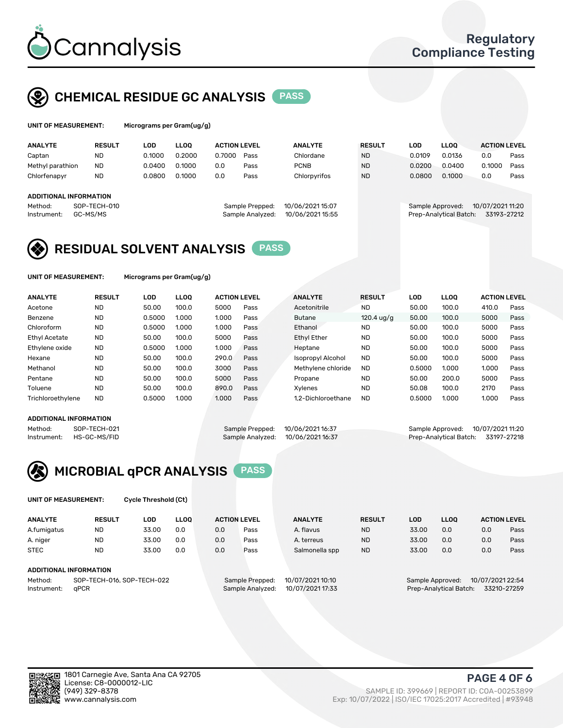

# CHEMICAL RESIDUE GC ANALYSIS PASS

| UNIT OF MEASUREMENT: | Mic |
|----------------------|-----|
|----------------------|-----|

rograms per Gram(ug/g)

| <b>ANALYTE</b>                                          | <b>RESULT</b>            | LOD    | <b>LLOO</b> | <b>ACTION LEVEL</b> |                                     | <b>ANALYTE</b>                       | <b>RESULT</b> | LOD              | <b>LLOO</b>            | <b>ACTION LEVEL</b>             |      |
|---------------------------------------------------------|--------------------------|--------|-------------|---------------------|-------------------------------------|--------------------------------------|---------------|------------------|------------------------|---------------------------------|------|
| Captan                                                  | <b>ND</b>                | 0.1000 | 0.2000      | 0.7000              | Pass                                | Chlordane                            | <b>ND</b>     | 0.0109           | 0.0136                 | 0.0                             | Pass |
| Methyl parathion                                        | <b>ND</b>                | 0.0400 | 0.1000      | 0.0                 | Pass                                | <b>PCNB</b>                          | <b>ND</b>     | 0.0200           | 0.0400                 | 0.1000                          | Pass |
| Chlorfenapyr                                            | <b>ND</b>                | 0.0800 | 0.1000      | 0.0                 | Pass                                | Chlorpyrifos                         | <b>ND</b>     | 0.0800           | 0.1000                 | 0.0                             | Pass |
| <b>ADDITIONAL INFORMATION</b><br>Method:<br>Instrument: | SOP-TECH-010<br>GC-MS/MS |        |             |                     | Sample Prepped:<br>Sample Analyzed: | 10/06/2021 15:07<br>10/06/2021 15:55 |               | Sample Approved: | Prep-Analytical Batch: | 10/07/2021 11:20<br>33193-27212 |      |

# RESIDUAL SOLVENT ANALYSIS PASS

UNIT OF MEASUREMENT: Micrograms per Gram(ug/g)

| <b>ANALYTE</b>    | <b>RESULT</b> | <b>LOD</b> | <b>LLOO</b> | <b>ACTION LEVEL</b> |      | <b>ANALYTE</b>           | <b>RESULT</b>        | LOD    | <b>LLOO</b> | <b>ACTION LEVEL</b> |      |
|-------------------|---------------|------------|-------------|---------------------|------|--------------------------|----------------------|--------|-------------|---------------------|------|
| Acetone           | <b>ND</b>     | 50.00      | 100.0       | 5000                | Pass | Acetonitrile             | <b>ND</b>            | 50.00  | 100.0       | 410.0               | Pass |
| Benzene           | <b>ND</b>     | 0.5000     | 1.000       | 1.000               | Pass | <b>Butane</b>            | $120.4 \text{ uq/q}$ | 50.00  | 100.0       | 5000                | Pass |
| Chloroform        | <b>ND</b>     | 0.5000     | 1.000       | 1.000               | Pass | Ethanol                  | <b>ND</b>            | 50.00  | 100.0       | 5000                | Pass |
| Ethyl Acetate     | <b>ND</b>     | 50.00      | 100.0       | 5000                | Pass | <b>Ethyl Ether</b>       | <b>ND</b>            | 50.00  | 100.0       | 5000                | Pass |
| Ethylene oxide    | <b>ND</b>     | 0.5000     | 1.000       | 1.000               | Pass | Heptane                  | <b>ND</b>            | 50.00  | 100.0       | 5000                | Pass |
| Hexane            | <b>ND</b>     | 50.00      | 100.0       | 290.0               | Pass | <b>Isopropyl Alcohol</b> | <b>ND</b>            | 50.00  | 100.0       | 5000                | Pass |
| Methanol          | <b>ND</b>     | 50.00      | 100.0       | 3000                | Pass | Methylene chloride       | <b>ND</b>            | 0.5000 | 1.000       | 1.000               | Pass |
| Pentane           | <b>ND</b>     | 50.00      | 100.0       | 5000                | Pass | Propane                  | <b>ND</b>            | 50.00  | 200.0       | 5000                | Pass |
| Toluene           | <b>ND</b>     | 50.00      | 100.0       | 890.0               | Pass | Xvlenes                  | <b>ND</b>            | 50.08  | 100.0       | 2170                | Pass |
| Trichloroethylene | <b>ND</b>     | 0.5000     | 1.000       | 1.000               | Pass | 1.2-Dichloroethane       | <b>ND</b>            | 0.5000 | 1.000       | 1.000               | Pass |

#### ADDITIONAL INFORMATION

|             | ADDITIONAL INFORMATION |                                  |                                    |  |
|-------------|------------------------|----------------------------------|------------------------------------|--|
| Method:     | SOP-TECH-021           | Sample Prepped: 10/06/2021 16:37 | Sample Approved: 10/07/2021 11:20  |  |
| Instrument: | : HS-GC-MS/FID         | Sample Analyzed: 10/06/202116:37 | Prep-Analytical Batch: 33197-27218 |  |



UNIT OF MEASUREMENT: Cycle Threshold (Ct)

| <b>ANALYTE</b>         | <b>RESULT</b>              | LOD   | <b>LLOO</b> |     | <b>ACTION LEVEL</b> | <b>ANALYTE</b>   | <b>RESULT</b> | LOD   | <b>LLOO</b>            |                  | <b>ACTION LEVEL</b> |
|------------------------|----------------------------|-------|-------------|-----|---------------------|------------------|---------------|-------|------------------------|------------------|---------------------|
| A.fumigatus            | <b>ND</b>                  | 33.00 | 0.0         | 0.0 | Pass                | A. flavus        | <b>ND</b>     | 33.00 | 0.0                    | 0.0              | Pass                |
| A. niger               | <b>ND</b>                  | 33.00 | 0.0         | 0.0 | Pass                | A. terreus       | <b>ND</b>     | 33.00 | 0.0                    | 0.0              | Pass                |
| <b>STEC</b>            | <b>ND</b>                  | 33.00 | 0.0         | 0.0 | Pass                | Salmonella spp   | <b>ND</b>     | 33.00 | 0.0                    | 0.0              | Pass                |
|                        |                            |       |             |     |                     |                  |               |       |                        |                  |                     |
| ADDITIONAL INFORMATION |                            |       |             |     |                     |                  |               |       |                        |                  |                     |
| Method:                | SOP-TECH-016, SOP-TECH-022 |       |             |     | Sample Prepped:     | 10/07/2021 10:10 |               |       | Sample Approved:       | 10/07/2021 22:54 |                     |
| Instrument:            | aPCR                       |       |             |     | Sample Analyzed:    | 10/07/2021 17:33 |               |       | Prep-Analytical Batch: |                  | 33210-27259         |

PAGE 4 OF 6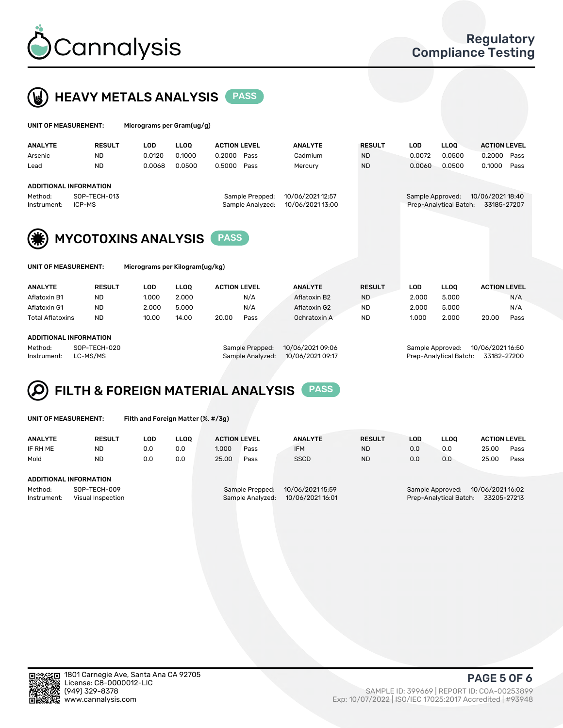



| UNIT OF MEASUREMENT:   |                               | Micrograms per Gram(ug/g) |             |                     |                                     |                                      |               |                  |                        |                                 |      |
|------------------------|-------------------------------|---------------------------|-------------|---------------------|-------------------------------------|--------------------------------------|---------------|------------------|------------------------|---------------------------------|------|
| <b>ANALYTE</b>         | <b>RESULT</b>                 | <b>LOD</b>                | <b>LLOO</b> | <b>ACTION LEVEL</b> |                                     | <b>ANALYTE</b>                       | <b>RESULT</b> | <b>LOD</b>       | <b>LLOO</b>            | <b>ACTION LEVEL</b>             |      |
| Arsenic                | <b>ND</b>                     | 0.0120                    | 0.1000      | 0.2000              | Pass                                | Cadmium                              | <b>ND</b>     | 0.0072           | 0.0500                 | 0.2000                          | Pass |
| Lead                   | <b>ND</b>                     | 0.0068                    | 0.0500      | 0.5000              | Pass                                | Mercury                              | <b>ND</b>     | 0.0060           | 0.0500                 | 0.1000                          | Pass |
|                        | <b>ADDITIONAL INFORMATION</b> |                           |             |                     |                                     |                                      |               |                  |                        |                                 |      |
| Method:<br>Instrument: | SOP-TECH-013<br>ICP-MS        |                           |             |                     | Sample Prepped:<br>Sample Analyzed: | 10/06/2021 12:57<br>10/06/2021 13:00 |               | Sample Approved: | Prep-Analytical Batch: | 10/06/2021 18:40<br>33185-27207 |      |
| (*)                    | <b>MYCOTOXINS ANALYSIS</b>    |                           |             | <b>PASS</b>         |                                     |                                      |               |                  |                        |                                 |      |

UNIT OF MEASUREMENT: Micrograms per Kilogram(ug/kg)

| <b>ANALYTE</b>          | <b>RESULT</b> | LOD   | <b>LLOO</b> | <b>ACTION LEVEL</b> |      | <b>ANALYTE</b> | <b>RESULT</b> | LOD   | <b>LLOO</b> | <b>ACTION LEVEL</b> |      |
|-------------------------|---------------|-------|-------------|---------------------|------|----------------|---------------|-------|-------------|---------------------|------|
| Aflatoxin B1            | <b>ND</b>     | 1.000 | 2.000       |                     | N/A  | Aflatoxin B2   | <b>ND</b>     | 2.000 | 5.000       |                     | N/A  |
| Aflatoxin G1            | <b>ND</b>     | 2.000 | 5.000       |                     | N/A  | Aflatoxin G2   | <b>ND</b>     | 2.000 | 5.000       |                     | N/A  |
| <b>Total Aflatoxins</b> | <b>ND</b>     | 10.00 | 14.00       | 20.00               | Pass | Ochratoxin A   | <b>ND</b>     | 1.000 | 2.000       | 20.00               | Pass |
|                         |               |       |             |                     |      |                |               |       |             |                     |      |

#### ADDITIONAL INFORMATION

Method: SOP-TECH-020 Sample Prepped: 10/06/2021 09:06 Sample Approved: 10/06/2021 16:50 Instrument: LC-MS/MS Sample Analyzed: 10/06/2021 09:17 Prep-Analytical Batch: 33182-27200

# FILTH & FOREIGN MATERIAL ANALYSIS PASS

UNIT OF MEASUREMENT: Filth and Foreign Matter (%, #/3g)

| <b>ANALYTE</b>                   | <b>RESULT</b> | LOD | LLOO | <b>ACTION LEVEL</b>                 |                  | <b>ANALYTE</b>   | <b>RESULT</b> | <b>LOD</b>                           | <b>LLOO</b>            | <b>ACTION LEVEL</b> |      |
|----------------------------------|---------------|-----|------|-------------------------------------|------------------|------------------|---------------|--------------------------------------|------------------------|---------------------|------|
| IF RH ME                         | <b>ND</b>     | 0.0 | 0.0  | 1.000                               | Pass             | <b>IFM</b>       | <b>ND</b>     | 0.0                                  | 0.0                    | 25.00               | Pass |
| Mold                             | <b>ND</b>     | 0.0 | 0.0  | 25.00                               | Pass             | <b>SSCD</b>      | <b>ND</b>     | 0.0                                  | 0.0                    | 25.00               | Pass |
|                                  |               |     |      |                                     |                  |                  |               |                                      |                        |                     |      |
| ADDITIONAL INFORMATION           |               |     |      |                                     |                  |                  |               |                                      |                        |                     |      |
| Method:<br>SOP-TECH-009          |               |     |      | 10/06/2021 15:59<br>Sample Prepped: |                  |                  |               | 10/06/2021 16:02<br>Sample Approved: |                        |                     |      |
| Instrument:<br>Visual Inspection |               |     |      |                                     | Sample Analyzed: | 10/06/2021 16:01 |               |                                      | Prep-Analytical Batch: | 33205-27213         |      |



PAGE 5 OF 6